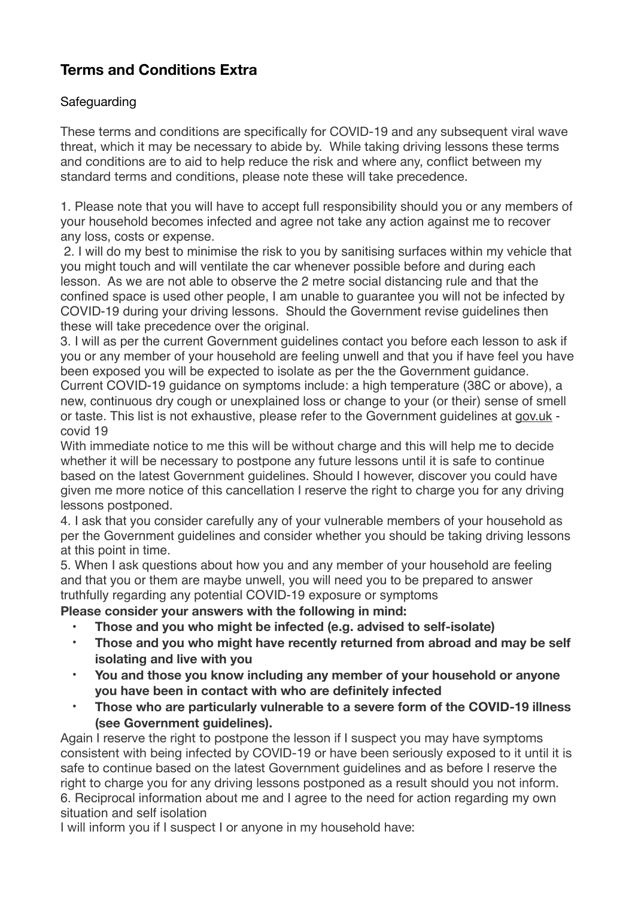## **Terms and Conditions Extra**

## **Safeguarding**

These terms and conditions are specifically for COVID-19 and any subsequent viral wave threat, which it may be necessary to abide by. While taking driving lessons these terms and conditions are to aid to help reduce the risk and where any, conflict between my standard terms and conditions, please note these will take precedence.

1. Please note that you will have to accept full responsibility should you or any members of your household becomes infected and agree not take any action against me to recover any loss, costs or expense.

 2. I will do my best to minimise the risk to you by sanitising surfaces within my vehicle that you might touch and will ventilate the car whenever possible before and during each lesson. As we are not able to observe the 2 metre social distancing rule and that the confined space is used other people, I am unable to guarantee you will not be infected by COVID-19 during your driving lessons. Should the Government revise guidelines then these will take precedence over the original.

3. I will as per the current Government guidelines contact you before each lesson to ask if you or any member of your household are feeling unwell and that you if have feel you have been exposed you will be expected to isolate as per the the Government guidance. Current COVID-19 guidance on symptoms include: a high temperature (38C or above), a new, continuous dry cough or unexplained loss or change to your (or their) sense of smell or taste. This list is not exhaustive, please refer to the Government guidelines at [gov.uk](http://gov.uk)  covid 19

With immediate notice to me this will be without charge and this will help me to decide whether it will be necessary to postpone any future lessons until it is safe to continue based on the latest Government guidelines. Should I however, discover you could have given me more notice of this cancellation I reserve the right to charge you for any driving lessons postponed.

4. I ask that you consider carefully any of your vulnerable members of your household as per the Government guidelines and consider whether you should be taking driving lessons at this point in time.

5. When I ask questions about how you and any member of your household are feeling and that you or them are maybe unwell, you will need you to be prepared to answer truthfully regarding any potential COVID-19 exposure or symptoms

**Please consider your answers with the following in mind:** 

- **Those and you who might be infected (e.g. advised to self-isolate)**
- **Those and you who might have recently returned from abroad and may be self isolating and live with you**
- **You and those you know including any member of your household or anyone you have been in contact with who are definitely infected**
- **Those who are particularly vulnerable to a severe form of the COVID-19 illness (see Government guidelines).**

Again I reserve the right to postpone the lesson if I suspect you may have symptoms consistent with being infected by COVID-19 or have been seriously exposed to it until it is safe to continue based on the latest Government guidelines and as before I reserve the right to charge you for any driving lessons postponed as a result should you not inform. 6. Reciprocal information about me and I agree to the need for action regarding my own situation and self isolation

I will inform you if I suspect I or anyone in my household have: